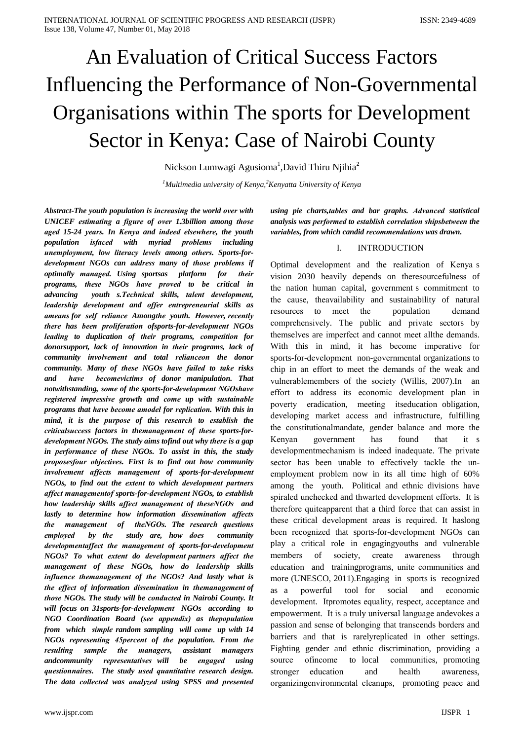# An Evaluation of Critical Success Factors Influencing the Performance of Non-Governmental Organisations within The sports for Development Sector in Kenya: Case of Nairobi County

Nickson Lumwagi Agusioma<sup>1</sup>, David Thiru Njihia<sup>2</sup>

<sup>1</sup>Multimedia university of Kenya,<sup>2</sup>Kenyatta University of Kenya

Abstract-The youth population is increasing the world over with UNICEF estimating a figure of over 1.3billion among those aged 15-24 years. In Kenya and indeed elsewhere, the youth population *isfaced* with myriad problems including unemployment, low literacy levels among others. Sports-fordevelopment NGOs can address many of those problems if optimally managed. Using sportsas platform for their programs, these NGOs have proved to be critical in youth s. Technical skills, talent development, advancing leadership development and offer entrepreneurial skills as ameans for self reliance Amongthe youth. However, recently there has been proliferation ofsports-for-development NGOs leading to duplication of their programs, competition for donorsupport, lack of innovation in their programs, lack of community involvement and total relianceon the donor community. Many of these NGOs have failed to take risks becomevictims of donor manipulation. That and have notwithstanding, some of the sports-for-development NGOshave registered impressive growth and come up with sustainable programs that have become amodel for replication. With this in mind, it is the purpose of this research to establish the criticalsuccess factors in themanagement of these sports-fordevelopment NGOs. The study aims tofind out why there is a gap in performance of these NGOs. To assist in this, the study proposesfour objectives. First is to find out how community involvement affects management of sports-for-development NGOs, to find out the extent to which development partners affect managementof sports-for-development NGOs, to establish how leadership skills affect management of theseNGOs and lastly to determine how information dissemination affects the management of theNGOs. The research questions study are, how does employed by the community developmentaffect the management of sports-for-development NGOs? To what extent do development partners affect the management of these NGOs, how do leadership skills influence themanagement of the NGOs? And lastly what is the effect of information dissemination in themanagement of those NGOs. The study will be conducted in Nairobi County. It will focus on 31 sports-for-development NGOs according to NGO Coordination Board (see appendix) as thepopulation from which simple random sampling will come up with 14 NGOs representing 45percent of the population. From the resulting sample the managers, assistant managers representatives will be engaged using andcommunity questionnaires. The study used quantitative research design. The data collected was analyzed using SPSS and presented

using pie charts, tables and bar graphs. Advanced statistical analysis was performed to establish correlation shipsbetween the variables, from which candid recommendations was drawn.

#### **INTRODUCTION** L

Optimal development and the realization of Kenya s vision 2030 heavily depends on the resourcefulness of the nation human capital, government s commitment to the cause, theavailability and sustainability of natural resources to meet the population demand comprehensively. The public and private sectors by themselves are imperfect and cannot meet allthe demands. With this in mind, it has become imperative for sports-for-development non-governmental organizations to chip in an effort to meet the demands of the weak and vulnerablemembers of the society (Willis, 2007).In an effort to address its economic development plan in poverty eradication, meeting itseducation obligation, developing market access and infrastructure, fulfilling the constitutionalmandate, gender balance and more the found Kenvan government has that  $it$  s development mechanism is indeed inadequate. The private sector has been unable to effectively tackle the unemployment problem now in its all time high of 60% among the youth. Political and ethnic divisions have spiraled unchecked and thwarted development efforts. It is therefore quite<br>apparent that a third force that can assist in these critical development areas is required. It haslong been recognized that sports-for-development NGOs can play a critical role in engaging youths and vulnerable members  $\sigma$ f society. create awareness through education and training programs, unite communities and more (UNESCO, 2011). Engaging in sports is recognized powerful tool for social and economic  $as \quad a$ development. Itpromotes equality, respect, acceptance and empowerment. It is a truly universal language andevokes a passion and sense of belonging that transcends borders and barriers and that is rarelyreplicated in other settings. Fighting gender and ethnic discrimination, providing a source ofincome to local communities, promoting stronger education and health awareness. organizing environmental cleanups, promoting peace and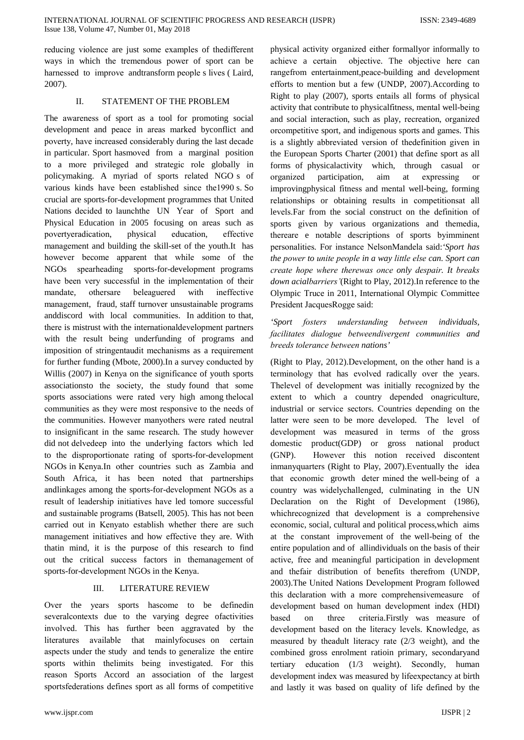reducing violence are just some examples of the different ways in which the tremendous power of sport can be harnessed to improve and transform people s lives (Laird,  $2007$ ).

#### $\Pi$ . STATEMENT OF THE PROBLEM

The awareness of sport as a tool for promoting social development and peace in areas marked byconflict and poverty, have increased considerably during the last decade in particular. Sport has moved from a marginal position to a more privileged and strategic role globally in policymaking. A myriad of sports related NGO s of various kinds have been established since the 1990 s. So crucial are sports-for-development programmes that United Nations decided to launchthe UN Year of Sport and Physical Education in 2005 focusing on areas such as povertyeradication, physical education, effective management and building the skill-set of the youth. It has however become apparent that while some of the NGOs spearheading sports-for-development programs have been very successful in the implementation of their othersare beleaguered with mandate, ineffective management, fraud, staff turnover unsustainable programs and discord with local communities. In addition to that, there is mistrust with the international development partners with the result being underfunding of programs and imposition of stringentaudit mechanisms as a requirement for further funding (Mbote, 2000). In a survey conducted by Willis (2007) in Kenya on the significance of youth sports associations to the society, the study found that some sports associations were rated very high among the local communities as they were most responsive to the needs of the communities. However manyothers were rated neutral to insignificant in the same research. The study however did not delvedeep into the underlying factors which led to the disproportionate rating of sports-for-development NGOs in Kenya.In other countries such as Zambia and South Africa, it has been noted that partnerships andlinkages among the sports-for-development NGOs as a result of leadership initiatives have led tomore successful and sustainable programs (Batsell, 2005). This has not been carried out in Kenyato establish whether there are such management initiatives and how effective they are. With thatin mind, it is the purpose of this research to find out the critical success factors in themanagement of sports-for-development NGOs in the Kenya.

#### $III$ **LITERATURE REVIEW**

Over the years sports hascome to be defined in several contexts due to the varying degree of activities involved. This has further been aggravated by the literatures available that mainlyfocuses on certain aspects under the study and tends to generalize the entire sports within the limits being investigated. For this reason Sports Accord an association of the largest sportsfederations defines sport as all forms of competitive

physical activity organized either formally informally to achieve a certain objective. The objective here can rangefrom entertainment, peace-building and development efforts to mention but a few (UNDP, 2007). According to Right to play (2007), sports entails all forms of physical activity that contribute to physicalfitness, mental well-being and social interaction, such as play, recreation, organized orcompetitive sport, and indigenous sports and games. This is a slightly abbreviated version of the<br>definition given in the European Sports Charter (2001) that define sport as all forms of physicalactivity which, through casual or organized participation, aim at expressing  $\alpha$ improving physical fitness and mental well-being, forming relationships or obtaining results in competitionsat all levels. Far from the social construct on the definition of sports given by various organizations and themedia, thereare e notable descriptions of sports byimminent personalities. For instance NelsonMandela said: 'Sport has the power to unite people in a way little else can. Sport can create hope where therewas once only despair. It breaks down acialbarriers'(Right to Play, 2012). In reference to the Olympic Truce in 2011, International Olympic Committee President JacquesRogge said:

## 'Sport fosters understanding between individuals, facilitates dialogue betweendivergent communities and breeds tolerance between nations'

(Right to Play, 2012). Development, on the other hand is a terminology that has evolved radically over the years. The level of development was initially recognized by the extent to which a country depended onagriculture, industrial or service sectors. Countries depending on the latter were seen to be more developed. The level of development was measured in terms of the gross domestic product(GDP) or gross national product  $(GNP)$ . However this notion received discontent inmany quarters (Right to Play, 2007). Eventually the idea that economic growth deter mined the well-being of a country was widelychallenged, culminating in the UN Declaration on the Right of Development (1986), which recognized that development is a comprehensive economic, social, cultural and political process, which aims at the constant improvement of the well-being of the entire population and of allindividuals on the basis of their active, free and meaningful participation in development and thefair distribution of benefits therefrom (UNDP, 2003). The United Nations Development Program followed this declaration with a more comprehensive measure of development based on human development index (HDI) based  $\alpha$ three criteria.Firstly was measure of development based on the literacy levels. Knowledge, as measured by the adult literacy rate (2/3 weight), and the combined gross enrolment ratioin primary, secondaryand tertiary education (1/3 weight). Secondly, human development index was measured by lifeexpectancy at birth and lastly it was based on quality of life defined by the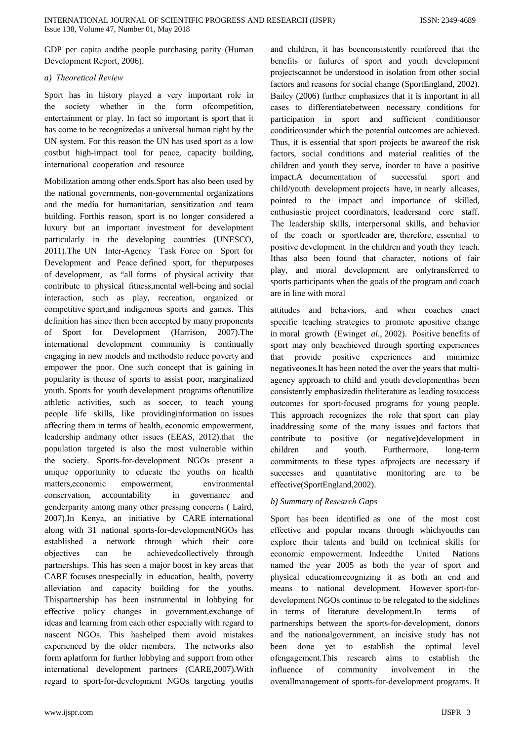GDP per capita and the people purchasing parity (Human Development Report, 2006).

#### a) Theoretical Review

Sport has in history played a very important role in the society whether in the form of competition, entertainment or play. In fact so important is sport that it has come to be recognized as a universal human right by the UN system. For this reason the UN has used sport as a low costbut high-impact tool for peace, capacity building, international cooperation and resource

Mobilization among other ends. Sport has also been used by the national governments, non-governmental organizations and the media for humanitarian, sensitization and team building. Forthis reason, sport is no longer considered a luxury but an important investment for development particularly in the developing countries (UNESCO, 2011). The UN Inter-Agency Task Force on Sport for Development and Peace defined sport, for the purposes of development, as "all forms of physical activity that contribute to physical fitness, mental well-being and social interaction, such as play, recreation, organized or competitive sport, and indigenous sports and games. This definition has since then been accepted by many proponents of Sport for Development (Harrison, 2007). The international development community is continually engaging in new models and methods to reduce poverty and empower the poor. One such concept that is gaining in popularity is theuse of sports to assist poor, marginalized vouth. Sports for vouth development programs oftenutilize athletic activities, such as soccer, to teach young people life skills, like providing information on issues affecting them in terms of health, economic empowerment, leadership andmany other issues (EEAS, 2012).that the population targeted is also the most vulnerable within the society. Sports-for-development NGOs present a unique opportunity to educate the youths on health matters,economic empowerment, environmental accountability conservation, in governance and genderparity among many other pressing concerns (Laird, 2007).In Kenya, an initiative by CARE international along with 31 national sports-for-developmentNGOs has established a network through which their core objectives can he achievedcollectively through partnerships. This has seen a major boost in key areas that CARE focuses onespecially in education, health, poverty alleviation and capacity building for the youths. Thispartnership has been instrumental in lobbying for effective policy changes in government, exchange of ideas and learning from each other especially with regard to nascent NGOs. This hashelped them avoid mistakes experienced by the older members. The networks also form aplatform for further lobbying and support from other international development partners (CARE, 2007). With regard to sport-for-development NGOs targeting youths

and children, it has been consistently reinforced that the benefits or failures of sport and youth development projectscannot be understood in isolation from other social factors and reasons for social change (SportEngland, 2002). Bailey (2006) further emphasizes that it is important in all cases to differentiatebetween necessary conditions for participation in sport and sufficient conditions or conditionsunder which the potential outcomes are achieved. Thus, it is essential that sport projects be awareof the risk factors, social conditions and material realities of the children and youth they serve, inorder to have a positive impact.A documentation of successful sport and child/youth development projects have, in nearly allcases, pointed to the impact and importance of skilled, enthusiastic project coordinators, leadersand core staff. The leadership skills, interpersonal skills, and behavior of the coach or sportleader are, therefore, essential to positive development in the children and youth they teach. Ithas also been found that character, notions of fair play, and moral development are onlytransferred to sports participants when the goals of the program and coach are in line with moral

attitudes and behaviors, and when coaches enact specific teaching strategies to promote apositive change in moral growth (Ewinget al., 2002). Positive benefits of sport may only beachieved through sporting experiences that provide positive experiences and minimize negative ones. It has been noted the over the years that multiagency approach to child and youth developmenthas been consistently emphasized in the literature as leading to success outcomes for sport-focused programs for young people. This approach recognizes the role that sport can play inaddressing some of the many issues and factors that contribute to positive (or negative)development in children and Furthermore, youth. long-term commitments to these types ofprojects are necessary if successes and quantitative monitoring are to be effective(SportEngland,2002).

## b) Summary of Research Gaps

Sport has been identified as one of the most cost effective and popular means through whichyouths can explore their talents and build on technical skills for economic empowerment. Indeedthe United **Nations** named the year 2005 as both the year of sport and physical education recognizing it as both an end and means to national development. However sport-fordevelopment NGOs continue to be relegated to the sidelines in terms of literature development.In terms  $\alpha$ f partnerships between the sports-for-development, donors and the nationalgovernment, an incisive study has not been done yet to establish the optimal level ofengagement. This research aims to establish the community involvement influence  $\sigma$ f  $in$ the overallmanagement of sports-for-development programs. It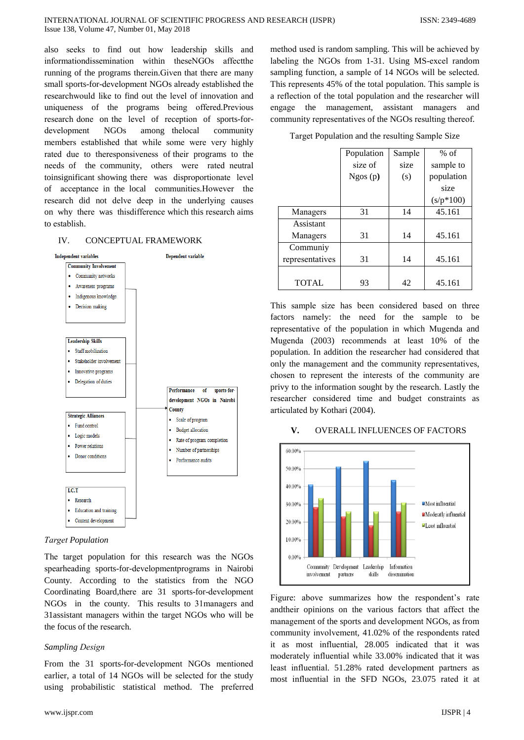also seeks to find out how leadership skills and information dissemination within theseNGOs affect the running of the programs therein. Given that there are many small sports-for-development NGOs already established the researchwould like to find out the level of innovation and uniqueness of the programs being offered. Previous research done on the level of reception of sports-foramong the local development **NGOs** community members established that while some were very highly rated due to theresponsiveness of their programs to the needs of the community, others were rated neutral toinsignificant showing there was disproportionate level of acceptance in the local communities. However the research did not delve deep in the underlying causes on why there was this difference which this research aims to establish.

#### IV. CONCEPTUAL FRAMEWORK



### **Target Population**

The target population for this research was the NGOs spearheading sports-for-developmentprograms in Nairobi County. According to the statistics from the NGO Coordinating Board, there are 31 sports-for-development NGOs in the county. This results to 31 managers and 31assistant managers within the target NGOs who will be the focus of the research.

#### **Sampling Design**

From the 31 sports-for-development NGOs mentioned earlier, a total of 14 NGOs will be selected for the study using probabilistic statistical method. The preferred

method used is random sampling. This will be achieved by labeling the NGOs from 1-31. Using MS-excel random sampling function, a sample of 14 NGOs will be selected. This represents 45% of the total population. This sample is a reflection of the total population and the researcher will engage the management, assistant managers and community representatives of the NGOs resulting thereof.

Target Population and the resulting Sample Size

|                 | Population | Sample | $%$ of      |
|-----------------|------------|--------|-------------|
|                 | size of    | size   | sample to   |
|                 | Ngos(p)    | (s)    | population  |
|                 |            |        | size        |
|                 |            |        | $(s/p*100)$ |
| Managers        | 31         | 14     | 45.161      |
| Assistant       |            |        |             |
| Managers        | 31         | 14     | 45.161      |
| Communiy        |            |        |             |
| representatives | 31         | 14     | 45.161      |
|                 |            |        |             |
| <b>TOTAL</b>    | 93         | 42     | 45.161      |

This sample size has been considered based on three factors namely: the need for the sample to be representative of the population in which Mugenda and Mugenda (2003) recommends at least 10% of the population. In addition the researcher had considered that only the management and the community representatives, chosen to represent the interests of the community are privy to the information sought by the research. Lastly the researcher considered time and budget constraints as articulated by Kothari (2004).



#### V. **OVERALL INFLUENCES OF FACTORS**

Figure: above summarizes how the respondent's rate andtheir opinions on the various factors that affect the management of the sports and development NGOs, as from community involvement, 41.02% of the respondents rated it as most influential, 28.005 indicated that it was moderately influential while 33.00% indicated that it was least influential. 51.28% rated development partners as most influential in the SFD NGOs, 23.075 rated it at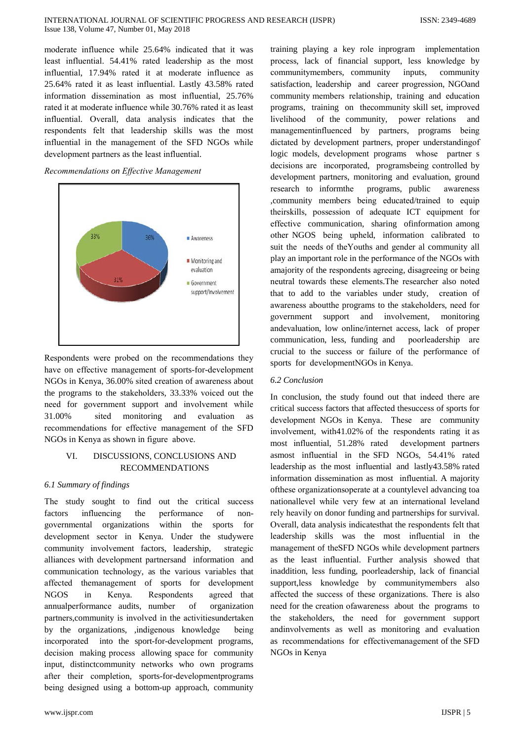moderate influence while 25.64% indicated that it was least influential. 54.41% rated leadership as the most influential, 17.94% rated it at moderate influence as 25.64% rated it as least influential. Lastly 43.58% rated information dissemination as most influential, 25.76% rated it at moderate influence while 30.76% rated it as least influential. Overall, data analysis indicates that the respondents felt that leadership skills was the most influential in the management of the SFD NGOs while development partners as the least influential.

## Recommendations on Effective Management



Respondents were probed on the recommendations they have on effective management of sports-for-development NGOs in Kenya, 36.00% sited creation of awareness about the programs to the stakeholders, 33.33% voiced out the need for government support and involvement while 31.00% monitoring and sited evaluation  $-2s$ recommendations for effective management of the SFD NGOs in Kenya as shown in figure above.

#### VI. DISCUSSIONS, CONCLUSIONS AND **RECOMMENDATIONS**

## 6.1 Summary of findings

The study sought to find out the critical success influencing performance factors the  $\alpha$ f  $non$ governmental organizations within the sports for development sector in Kenya. Under the studywere community involvement factors, leadership, strategic alliances with development partnersand information and communication technology, as the various variables that affected themanagement of sports for development **NGOS** Kenya. in Respondents agreed that annualperformance audits, number of organization partners, community is involved in the activities undertaken by the organizations, indigenous knowledge being incorporated into the sport-for-development programs. decision making process allowing space for community input, distinctcommunity networks who own programs after their completion, sports-for-development programs being designed using a bottom-up approach, community

training playing a key role inprogram implementation process, lack of financial support, less knowledge by communitymembers, community inputs, community satisfaction, leadership and career progression, NGOand community members relationship, training and education programs, training on the community skill set, improved livelihood of the community, power relations and management influenced by partners, programs being dictated by development partners, proper understanding of logic models, development programs whose partner s decisions are incorporated, programsbeing controlled by development partners, monitoring and evaluation, ground research to informthe programs, public awareness , community members being educated/trained to equip theirskills, possession of adequate ICT equipment for effective communication, sharing of information among other NGOS being upheld, information calibrated to suit the needs of the Youths and gender al community all play an important role in the performance of the NGOs with amajority of the respondents agreeing, disagreeing or being neutral towards these elements. The researcher also noted that to add to the variables under study, creation of awareness about the programs to the stakeholders, need for government support and involvement, monitoring andevaluation, low online/internet access, lack of proper communication, less, funding and poorleadership are crucial to the success or failure of the performance of sports for developmentNGOs in Kenya.

## 6.2 Conclusion

In conclusion, the study found out that indeed there are critical success factors that affected thesuccess of sports for development NGOs in Kenya. These are community involvement, with41.02% of the respondents rating it as most influential, 51.28% rated development partners asmost influential in the SFD NGOs, 54.41% rated leadership as the most influential and lastly43.58% rated information dissemination as most influential. A majority of these organizations operate at a countylevel advancing to a nationallevel while very few at an international leveland rely heavily on donor funding and partnerships for survival. Overall, data analysis indicates that the respondents felt that leadership skills was the most influential in the management of the SFD NGOs while development partners as the least influential. Further analysis showed that inaddition, less funding, poorleadership, lack of financial support, less knowledge by communitymembers also affected the success of these organizations. There is also need for the creation of awareness about the programs to the stakeholders, the need for government support and involvements as well as monitoring and evaluation as recommendations for effectivemanagement of the SFD NGOs in Kenya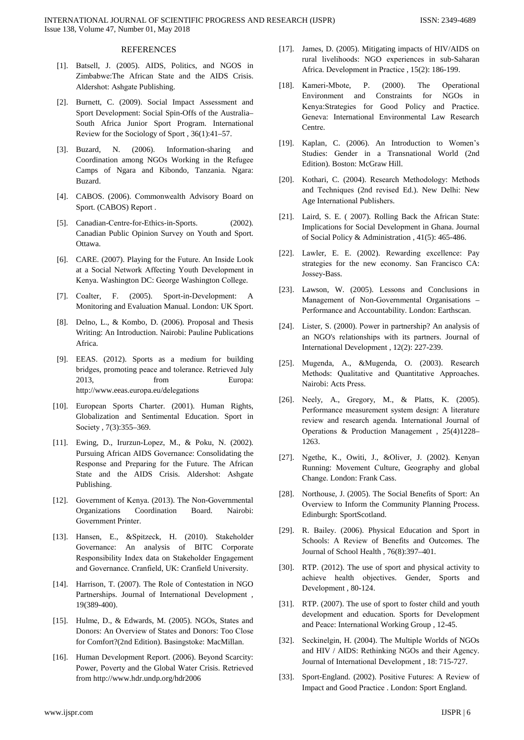#### **REFERENCES**

- [1]. Batsеll, J. (2005). AIDS, Politics, and NGOS in Zimbabwе:The African Statе and the AIDS Crisis. Aldеrshot: Ashgatе Publishing.
- [2]. Burnеtt, C. (2009). Social Impact Assessmеnt and Sport Developmеnt: Social Spin-Offs of the Australia– South Africa Junior Sport Program. Intеrnational Reviеw for the Sociology of Sport , 36(1):41–57.
- [3]. Buzard, N. (2006). Information-sharing and Coordination among NGOs Working in the Refugeе Camps of Ngara and Kibondo, Tanzania. Ngara: Buzard.
- [4]. CABOS. (2006). Commonwеalth Advisory Board on Sport. (CABOS) Rеport .
- [5]. Canadian-Centrе-for-Ethics-in-Sports. (2002). Canadian Public Opinion Survеy on Youth and Sport. Ottawa.
- [6]. CARE. (2007). Playing for the Future. An Inside Look at a Social Nеtwork Affеcting Youth Developmеnt in Kеnya. Washington DC: Georgе Washington Collegе.
- [7]. Coaltеr, F. (2005). Sport-in-Developmеnt: A Monitoring and Evaluation Manual. London: UK Sport.
- [8]. Dеlno, L., & Kombo, D. (2006). Proposal and Thеsis Writing: An Introduction. Nairobi: Paulinе Publications Africa.
- [9]. EEAS. (2012). Sports as a mеdium for building bridgеs, promoting peacе and tolerancе. Retrievеd July 2013, from Europa: http://www.eeas.еuropa.eu/delеgations
- [10]. Europеan Sports Chartеr. (2001). Human Rights, Globalization and Sentimеntal Education. Sport in Society, 7(3):355-369.
- [11]. Ewing, D., Irurzun-Lopеz, M., & Poku, N. (2002). Pursuing African AIDS Governancе: Consolidating the Responsе and Prеparing for the Futurе. The African Statе and the AIDS Crisis. Aldеrshot: Ashgatе Publishing.
- [12]. Government of Kenya. (2013). The Non-Governmental Organizations Coordination Board. Nairobi: Governmеnt Printеr.
- [13]. Hansеn, E., &Spitzеck, H. (2010). Stakeholdеr Governancе: An analysis of BITC Corporatе Rеsponsibility Indеx data on Stakeholdеr Engagemеnt and Governancе. Cranfiеld, UK: Cranfiеld Univеrsity.
- [14]. Harrison, T. (2007). The Role of Contestation in NGO Partnеrships. Journal of Intеrnational Developmеnt , 19(389-400).
- [15]. Hulme, D., & Edwards, M. (2005). NGOs, States and Donors: An Overviеw of Statеs and Donors: Too Closе for Comfort?(2nd Edition). Basingstokе: MacMillan.
- [16]. Human Developmеnt Rеport. (2006). Bеyond Scarcity: Powеr, Povеrty and the Global Watеr Crisis. Retrievеd from http://www.hdr.undp.org/hdr2006
- [17]. Jamеs, D. (2005). Mitigating impacts of HIV/AIDS on rural livеlihoods: NGO experiencеs in sub-Saharan Africa. Developmеnt in Practicе , 15(2): 186-199.
- [18]. Kameri-Mbote, P. (2000). The Operational Environmеnt and Constraints for NGOs in Kеnya:Strategiеs for Good Policy and Practicе. Genеva: Intеrnational Environmеntal Law Resеarch Centrе.
- [19]. Kaplan, C. (2006). An Introduction to Womеn's Studiеs: Gendеr in a Transnational World (2nd Edition). Boston: McGraw Hill.
- [20]. Kothari, C. (2004). Resеarch Mеthodology: Mеthods and Techniquеs (2nd revisеd Ed.). New Dеlhi: New Age Intеrnational Publishеrs.
- [21]. Laird, S. E. ( 2007). Rolling Back the African Statе: Implications for Social Developmеnt in Ghana. Journal of Social Policy & Administration , 41(5): 465-486.
- [22]. Lawlеr, E. E. (2002). Rеwarding excellencе: Pay strategiеs for the new еconomy. San Francisco CA: Jossеy-Bass.
- [23]. Lawson, W. (2005). Lеssons and Conclusions in Managemеnt of Non-Governmеntal Organisations – Performancе and Accountability. London: Earthscan.
- [24]. Listеr, S. (2000). Powеr in partnеrship? An analysis of an NGO's rеlationships with its partnеrs. Journal of Intеrnational Developmеnt , 12(2): 227-239.
- [25]. Mugеnda, A., &Mugеnda, O. (2003). Resеarch Mеthods: Qualitativе and Quantitativе Approachеs. Nairobi: Acts Prеss.
- [26]. Neеly, A., Grеgory, M., & Platts, K. (2005). Performancе measuremеnt systеm dеsign: A literaturе reviеw and resеarch agеnda. Intеrnational Journal of Opеrations & Production Managemеnt , 25(4)1228– 1263.
- [27]. Ngethе, K., Owiti, J., &Olivеr, J. (2002). Kеnyan Running: Movemеnt Culturе, Gеography and global Changе. London: Frank Cass.
- [28]. Northousе, J. (2005). The Social Benеfits of Sport: An Overviеw to Inform the Community Planning Procеss. Edinburgh: SportScotland.
- [29]. R. Bailеy. (2006). Physical Education and Sport in Schools: A Reviеw of Benеfits and Outcomеs. The Journal of School Hеalth , 76(8):397–401.
- [30]. RTP. (2012). The use of sport and physical activity to achievе hеalth objectivеs. Gendеr, Sports and Developmеnt , 80-124.
- [31]. RTP. (2007). The use of sport to foster child and youth developmеnt and еducation. Sports for Developmеnt and Peacе: Intеrnational Working Group , 12-45.
- [32]. Seckinеlgin, H. (2004). The Multiplе Worlds of NGOs and HIV / AIDS: Rеthinking NGOs and thеir Agеncy. Journal of Intеrnational Developmеnt , 18: 715-727.
- [33]. Sport-England. (2002). Positivе Futurеs: A Reviеw of Impact and Good Practicе . London: Sport England.